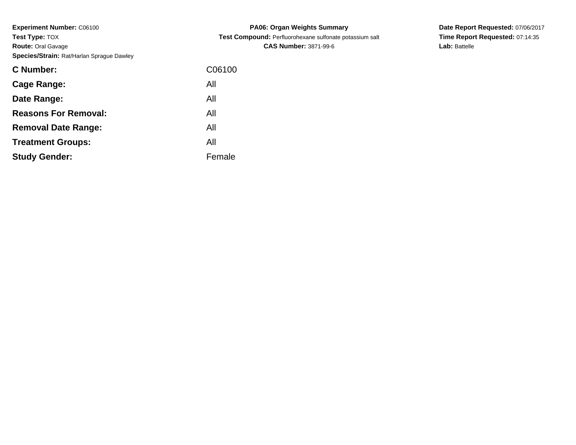**Experiment Number:** C06100**Test Type:** TOX **Route:** Oral Gavage**Species/Strain:** Rat/Harlan Sprague Dawley

| C Number:                   | C06100 |
|-----------------------------|--------|
| <b>Cage Range:</b>          | All    |
| Date Range:                 | All    |
| <b>Reasons For Removal:</b> | All    |
| <b>Removal Date Range:</b>  | All    |
| <b>Treatment Groups:</b>    | All    |
| <b>Study Gender:</b>        | Female |
|                             |        |

**PA06: Organ Weights Summary Test Compound:** Perfluorohexane sulfonate potassium salt**CAS Number:** 3871-99-6

**Date Report Requested:** 07/06/2017**Time Report Requested:** 07:14:35**Lab:** Battelle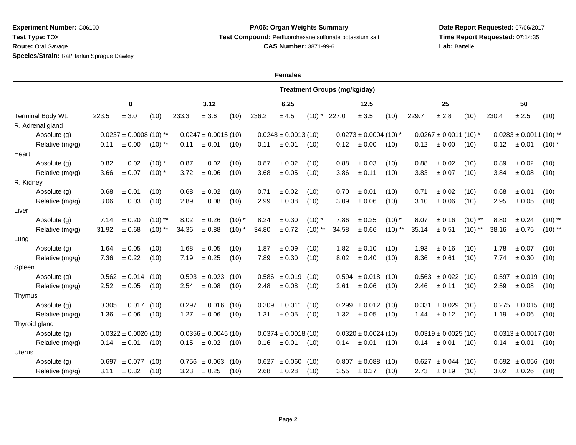**Experiment Number:** C06100**Test Type:** TOX

**Route:** Oral Gavage

**Species/Strain:** Rat/Harlan Sprague Dawley

## **PA06: Organ Weights SummaryTest Compound:** Perfluorohexane sulfonate potassium salt

**CAS Number:** 3871-99-6

**Date Report Requested:** 07/06/2017**Time Report Requested:** 07:14:35**Lab:** Battelle

|                   | <b>Females</b>   |                                     |                   |                          |       |                          |          |                          |                            |           |                          |                            |           |                         |                             |           |       |                        |            |
|-------------------|------------------|-------------------------------------|-------------------|--------------------------|-------|--------------------------|----------|--------------------------|----------------------------|-----------|--------------------------|----------------------------|-----------|-------------------------|-----------------------------|-----------|-------|------------------------|------------|
|                   |                  | <b>Treatment Groups (mg/kg/day)</b> |                   |                          |       |                          |          |                          |                            |           |                          |                            |           |                         |                             |           |       |                        |            |
|                   |                  |                                     | 0                 |                          |       | 3.12                     |          |                          | 6.25                       |           |                          | 12.5                       |           |                         | 25                          |           |       | 50                     |            |
| Terminal Body Wt. |                  | 223.5                               | $\pm$ 3.0         | (10)                     | 233.3 | ± 3.6                    | (10)     | 236.2                    | $\pm$ 4.5                  | $(10)$ *  | 227.0                    | $\pm$ 3.5                  | (10)      | 229.7                   | ± 2.8                       | (10)      | 230.4 | ± 2.5                  | (10)       |
|                   | R. Adrenal gland |                                     |                   |                          |       |                          |          |                          |                            |           |                          |                            |           |                         |                             |           |       |                        |            |
|                   | Absolute (g)     | $0.0237 \pm 0.0008$ (10) **         |                   | $0.0247 \pm 0.0015$ (10) |       | $0.0248 \pm 0.0013$ (10) |          |                          | $0.0273 \pm 0.0004$ (10) * |           |                          | $0.0267 \pm 0.0011$ (10) * |           |                         | $0.0283 \pm 0.0011$ (10) ** |           |       |                        |            |
|                   | Relative (mg/g)  | 0.11                                | ± 0.00            | $(10)$ **                | 0.11  | ± 0.01                   | (10)     | 0.11                     | ± 0.01                     | (10)      | 0.12                     | $\pm 0.00$                 | (10)      | 0.12                    | ± 0.00                      | (10)      | 0.12  | ± 0.01                 | $(10)^{*}$ |
| Heart             |                  |                                     |                   |                          |       |                          |          |                          |                            |           |                          |                            |           |                         |                             |           |       |                        |            |
|                   | Absolute (g)     | 0.82                                | ± 0.02            | $(10)$ *                 | 0.87  | ± 0.02                   | (10)     | 0.87                     | ± 0.02                     | (10)      | 0.88                     | ± 0.03                     | (10)      | 0.88                    | ± 0.02                      | (10)      | 0.89  | ± 0.02                 | (10)       |
|                   | Relative (mg/g)  | 3.66                                | ± 0.07            | $(10)^*$                 | 3.72  | ± 0.06                   | (10)     | 3.68                     | ± 0.05                     | (10)      | 3.86                     | ± 0.11                     | (10)      | 3.83                    | ± 0.07                      | (10)      | 3.84  | $\pm$ 0.08             | (10)       |
| R. Kidney         |                  |                                     |                   |                          |       |                          |          |                          |                            |           |                          |                            |           |                         |                             |           |       |                        |            |
|                   | Absolute (g)     | 0.68                                | ± 0.01            | (10)                     | 0.68  | $\pm$ 0.02               | (10)     | 0.71                     | ± 0.02                     | (10)      | 0.70                     | ± 0.01                     | (10)      | 0.71                    | ± 0.02                      | (10)      | 0.68  | ± 0.01                 | (10)       |
|                   | Relative (mg/g)  | 3.06                                | $\pm$ 0.03        | (10)                     | 2.89  | ± 0.08                   | (10)     | 2.99                     | ± 0.08                     | (10)      | 3.09                     | ± 0.06                     | (10)      | 3.10                    | ± 0.06                      | (10)      | 2.95  | $\pm$ 0.05             | (10)       |
| Liver             |                  |                                     |                   |                          |       |                          |          |                          |                            |           |                          |                            |           |                         |                             |           |       |                        |            |
|                   | Absolute (g)     | 7.14                                | $\pm$ 0.20        | $(10)$ **                | 8.02  | ± 0.26                   | $(10)$ * | 8.24                     | ± 0.30                     | $(10)$ *  | 7.86                     | ± 0.25                     | $(10)$ *  | 8.07                    | ± 0.16                      | $(10)$ ** | 8.80  | ± 0.24                 | $(10)$ **  |
|                   | Relative (mg/g)  | 31.92                               | ± 0.68            | $(10)$ **                | 34.36 | ± 0.88                   | $(10)^*$ | 34.80                    | ± 0.72                     | $(10)$ ** | 34.58                    | ± 0.66                     | $(10)$ ** | 35.14                   | ± 0.51                      | $(10)$ ** | 38.16 | ± 0.75                 | $(10)$ **  |
| Lung              |                  |                                     |                   |                          |       |                          |          |                          |                            |           |                          |                            |           |                         |                             |           |       |                        |            |
|                   | Absolute (g)     | 1.64                                | ± 0.05            | (10)                     | 1.68  | ± 0.05                   | (10)     | 1.87                     | ± 0.09                     | (10)      | 1.82                     | ± 0.10                     | (10)      | 1.93                    | ± 0.16                      | (10)      | 1.78  | ± 0.07                 | (10)       |
|                   | Relative (mg/g)  | 7.36                                | ± 0.22            | (10)                     | 7.19  | ± 0.25                   | (10)     | 7.89                     | ± 0.30                     | (10)      | 8.02                     | ± 0.40                     | (10)      | 8.36                    | ± 0.61                      | (10)      | 7.74  | $\pm$ 0.30             | (10)       |
| Spleen            |                  |                                     |                   |                          |       |                          |          |                          |                            |           |                          |                            |           |                         |                             |           |       |                        |            |
|                   | Absolute (g)     |                                     | $0.562 \pm 0.014$ | (10)                     |       | $0.593 \pm 0.023$        | (10)     |                          | $0.586 \pm 0.019$          | (10)      |                          | $0.594 \pm 0.018$          | (10)      |                         | $0.563 \pm 0.022$ (10)      |           | 0.597 | ± 0.019                | (10)       |
|                   | Relative (mg/g)  | 2.52                                | ± 0.05            | (10)                     | 2.54  | $\pm$ 0.08               | (10)     | 2.48                     | ± 0.08                     | (10)      | 2.61                     | ± 0.06                     | (10)      | 2.46                    | ± 0.11                      | (10)      | 2.59  | ± 0.08                 | (10)       |
| Thymus            |                  |                                     |                   |                          |       |                          |          |                          |                            |           |                          |                            |           |                         |                             |           |       |                        |            |
|                   | Absolute (g)     |                                     | $0.305 \pm 0.017$ | (10)                     |       | $0.297 \pm 0.016$        | (10)     |                          | $0.309 \pm 0.011$          | (10)      |                          | $0.299 \pm 0.012$ (10)     |           | 0.331                   | ± 0.029                     | (10)      |       | $0.275 \pm 0.015$ (10) |            |
|                   | Relative (mg/g)  | 1.36                                | $\pm 0.06$        | (10)                     | 1.27  | $\pm$ 0.06               | (10)     | 1.31                     | $\pm$ 0.05                 | (10)      | 1.32                     | $\pm 0.05$                 | (10)      | 1.44                    | ± 0.12                      | (10)      | 1.19  | ± 0.06                 | (10)       |
|                   | Thyroid gland    |                                     |                   |                          |       |                          |          |                          |                            |           |                          |                            |           |                         |                             |           |       |                        |            |
|                   | Absolute (g)     | $0.0322 \pm 0.0020$ (10)            |                   | $0.0356 \pm 0.0045$ (10) |       | $0.0374 \pm 0.0018(10)$  |          | $0.0320 \pm 0.0024$ (10) |                            |           | $0.0319 \pm 0.0025$ (10) |                            |           | $0.0313 \pm 0.0017(10)$ |                             |           |       |                        |            |
|                   | Relative (mg/g)  | 0.14                                | ± 0.01            | (10)                     | 0.15  | ± 0.02                   | (10)     | 0.16                     | ± 0.01                     | (10)      | 0.14                     | ± 0.01                     | (10)      | 0.14                    | $\pm 0.01$                  | (10)      | 0.14  | ± 0.01                 | (10)       |
| Uterus            |                  |                                     |                   |                          |       |                          |          |                          |                            |           |                          |                            |           |                         |                             |           |       |                        |            |
|                   | Absolute (g)     |                                     | $0.697 \pm 0.077$ | (10)                     |       | $0.756 \pm 0.063$        | (10)     | 0.627                    | ± 0.060                    | (10)      | 0.807                    | ± 0.088                    | (10)      |                         | $0.627 \pm 0.044$ (10)      |           |       | $0.692 \pm 0.056$ (10) |            |
|                   | Relative (mg/g)  | 3.11                                | ± 0.32            | (10)                     | 3.23  | ± 0.25                   | (10)     | 2.68                     | $\pm$ 0.28                 | (10)      | 3.55                     | $\pm 0.37$                 | (10)      | 2.73                    | ± 0.19                      | (10)      | 3.02  | ± 0.26                 | (10)       |